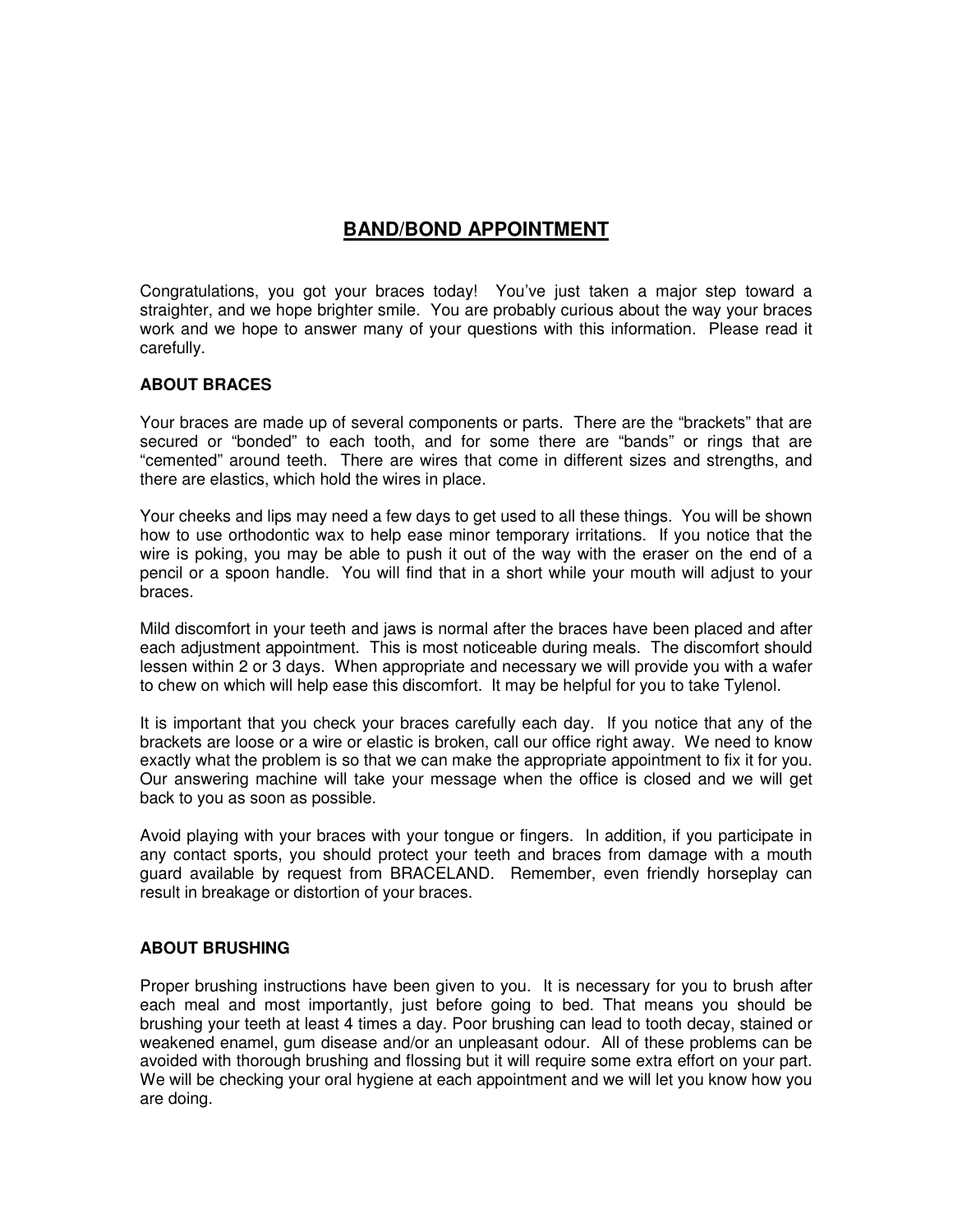# **BAND/BOND APPOINTMENT**

Congratulations, you got your braces today! You've just taken a major step toward a straighter, and we hope brighter smile. You are probably curious about the way your braces work and we hope to answer many of your questions with this information. Please read it carefully.

### **ABOUT BRACES**

Your braces are made up of several components or parts. There are the "brackets" that are secured or "bonded" to each tooth, and for some there are "bands" or rings that are "cemented" around teeth. There are wires that come in different sizes and strengths, and there are elastics, which hold the wires in place.

Your cheeks and lips may need a few days to get used to all these things. You will be shown how to use orthodontic wax to help ease minor temporary irritations. If you notice that the wire is poking, you may be able to push it out of the way with the eraser on the end of a pencil or a spoon handle. You will find that in a short while your mouth will adjust to your braces.

Mild discomfort in your teeth and jaws is normal after the braces have been placed and after each adjustment appointment. This is most noticeable during meals. The discomfort should lessen within 2 or 3 days. When appropriate and necessary we will provide you with a wafer to chew on which will help ease this discomfort. It may be helpful for you to take Tylenol.

It is important that you check your braces carefully each day. If you notice that any of the brackets are loose or a wire or elastic is broken, call our office right away. We need to know exactly what the problem is so that we can make the appropriate appointment to fix it for you. Our answering machine will take your message when the office is closed and we will get back to you as soon as possible.

Avoid playing with your braces with your tongue or fingers. In addition, if you participate in any contact sports, you should protect your teeth and braces from damage with a mouth guard available by request from BRACELAND. Remember, even friendly horseplay can result in breakage or distortion of your braces.

### **ABOUT BRUSHING**

Proper brushing instructions have been given to you. It is necessary for you to brush after each meal and most importantly, just before going to bed. That means you should be brushing your teeth at least 4 times a day. Poor brushing can lead to tooth decay, stained or weakened enamel, gum disease and/or an unpleasant odour. All of these problems can be avoided with thorough brushing and flossing but it will require some extra effort on your part. We will be checking your oral hygiene at each appointment and we will let you know how you are doing.